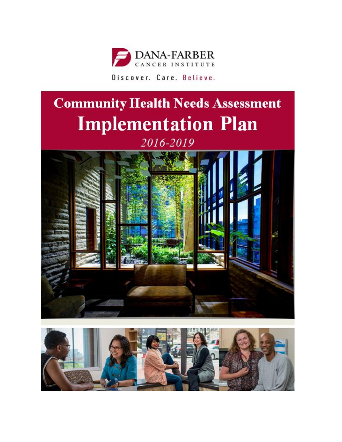

# **Community Health Needs Assessment Implementation Plan** 2016-2019



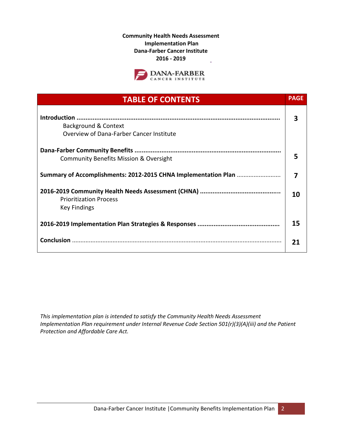**Community Health Needs Assessment Implementation Plan Dana-Farber Cancer Institute 2016 - 2019** ł,



| <b>TABLE OF CONTENTS</b>                                         | <b>PAGE</b>    |
|------------------------------------------------------------------|----------------|
| Background & Context<br>Overview of Dana-Farber Cancer Institute | 3              |
| <b>Community Benefits Mission &amp; Oversight</b>                | 5              |
| Summary of Accomplishments: 2012-2015 CHNA Implementation Plan   | $\overline{7}$ |
| <b>Prioritization Process</b><br><b>Key Findings</b>             |                |
|                                                                  | 15             |
|                                                                  | 21             |

*This implementation plan is intended to satisfy the Community Health Needs Assessment Implementation Plan requirement under Internal Revenue Code Section 501(r)(3)(A)(iii) and the Patient Protection and Affordable Care Act.*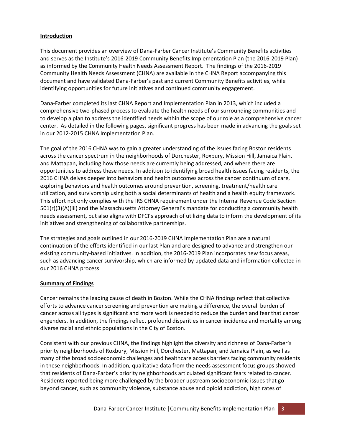#### **Introduction**

This document provides an overview of Dana-Farber Cancer Institute's Community Benefits activities and serves as the Institute's 2016-2019 Community Benefits Implementation Plan (the 2016-2019 Plan) as informed by the Community Health Needs Assessment Report. The findings of the 2016-2019 Community Health Needs Assessment (CHNA) are available in the CHNA Report accompanying this document and have validated Dana-Farber's past and current Community Benefits activities, while identifying opportunities for future initiatives and continued community engagement.

Dana-Farber completed its last CHNA Report and Implementation Plan in 2013, which included a comprehensive two-phased process to evaluate the health needs of our surrounding communities and to develop a plan to address the identified needs within the scope of our role as a comprehensive cancer center. As detailed in the following pages, significant progress has been made in advancing the goals set in our 2012-2015 CHNA Implementation Plan.

The goal of the 2016 CHNA was to gain a greater understanding of the issues facing Boston residents across the cancer spectrum in the neighborhoods of Dorchester, Roxbury, Mission Hill, Jamaica Plain, and Mattapan, including how those needs are currently being addressed, and where there are opportunities to address these needs. In addition to identifying broad health issues facing residents, the 2016 CHNA delves deeper into behaviors and health outcomes across the cancer continuum of care, exploring behaviors and health outcomes around prevention, screening, treatment/health care utilization, and survivorship using both a social determinants of health and a health equity framework. This effort not only complies with the IRS CHNA requirement under the Internal Revenue Code Section 501(r)(3)(A)(iii) and the Massachusetts Attorney General's mandate for conducting a community health needs assessment, but also aligns with DFCI's approach of utilizing data to inform the development of its initiatives and strengthening of collaborative partnerships.

The strategies and goals outlined in our 2016-2019 CHNA Implementation Plan are a natural continuation of the efforts identified in our last Plan and are designed to advance and strengthen our existing community-based initiatives. In addition, the 2016-2019 Plan incorporates new focus areas, such as advancing cancer survivorship, which are informed by updated data and information collected in our 2016 CHNA process.

#### **Summary of Findings**

Cancer remains the leading cause of death in Boston. While the CHNA findings reflect that collective efforts to advance cancer screening and prevention are making a difference, the overall burden of cancer across all types is significant and more work is needed to reduce the burden and fear that cancer engenders. In addition, the findings reflect profound disparities in cancer incidence and mortality among diverse racial and ethnic populations in the City of Boston.

Consistent with our previous CHNA, the findings highlight the diversity and richness of Dana-Farber's priority neighborhoods of Roxbury, Mission Hill, Dorchester, Mattapan, and Jamaica Plain, as well as many of the broad socioeconomic challenges and healthcare access barriers facing community residents in these neighborhoods. In addition, qualitative data from the needs assessment focus groups showed that residents of Dana-Farber's priority neighborhoods articulated significant fears related to cancer. Residents reported being more challenged by the broader upstream socioeconomic issues that go beyond cancer, such as community violence, substance abuse and opioid addiction, high rates of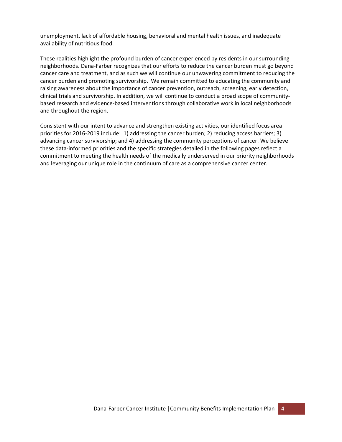unemployment, lack of affordable housing, behavioral and mental health issues, and inadequate availability of nutritious food.

These realities highlight the profound burden of cancer experienced by residents in our surrounding neighborhoods. Dana-Farber recognizes that our efforts to reduce the cancer burden must go beyond cancer care and treatment, and as such we will continue our unwavering commitment to reducing the cancer burden and promoting survivorship. We remain committed to educating the community and raising awareness about the importance of cancer prevention, outreach, screening, early detection, clinical trials and survivorship. In addition, we will continue to conduct a broad scope of communitybased research and evidence-based interventions through collaborative work in local neighborhoods and throughout the region.

Consistent with our intent to advance and strengthen existing activities, our identified focus area priorities for 2016-2019 include: 1) addressing the cancer burden; 2) reducing access barriers; 3) advancing cancer survivorship; and 4) addressing the community perceptions of cancer. We believe these data-informed priorities and the specific strategies detailed in the following pages reflect a commitment to meeting the health needs of the medically underserved in our priority neighborhoods and leveraging our unique role in the continuum of care as a comprehensive cancer center.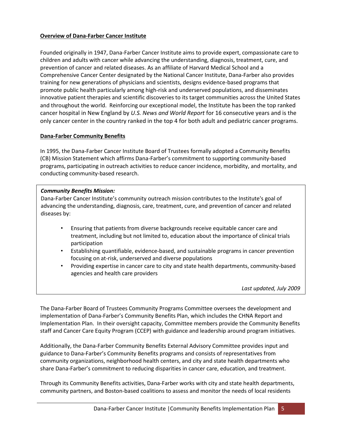#### **Overview of Dana-Farber Cancer Institute**

Founded originally in 1947, Dana-Farber Cancer Institute aims to provide expert, compassionate care to children and adults with cancer while advancing the understanding, diagnosis, treatment, cure, and prevention of cancer and related diseases. As an affiliate of Harvard Medical School and a Comprehensive Cancer Center designated by the National Cancer Institute, Dana-Farber also provides training for new generations of physicians and scientists, designs evidence-based programs that promote public health particularly among high-risk and underserved populations, and disseminates innovative patient therapies and scientific discoveries to its target communities across the United States and throughout the world. Reinforcing our exceptional model, the Institute has been the top ranked cancer hospital in New England by *U.S. News and World Report* for 16 consecutive years and is the only cancer center in the country ranked in the top 4 for both adult and pediatric cancer programs.

#### **Dana-Farber Community Benefits**

In 1995, the Dana-Farber Cancer Institute Board of Trustees formally adopted a Community Benefits (CB) Mission Statement which affirms Dana-Farber's commitment to supporting community-based programs, participating in outreach activities to reduce cancer incidence, morbidity, and mortality, and conducting community-based research.

#### *Community Benefits Mission:*

Dana-Farber Cancer Institute's community outreach mission contributes to the Institute's goal of advancing the understanding, diagnosis, care, treatment, cure, and prevention of cancer and related diseases by:

- Ensuring that patients from diverse backgrounds receive equitable cancer care and treatment, including but not limited to, education about the importance of clinical trials participation
- Establishing quantifiable, evidence-based, and sustainable programs in cancer prevention focusing on at-risk, underserved and diverse populations
- Providing expertise in cancer care to city and state health departments, community-based agencies and health care providers

*Last updated, July 2009*

The Dana-Farber Board of Trustees Community Programs Committee oversees the development and implementation of Dana-Farber's Community Benefits Plan, which includes the CHNA Report and Implementation Plan. In their oversight capacity, Committee members provide the Community Benefits staff and Cancer Care Equity Program (CCEP) with guidance and leadership around program initiatives.

Additionally, the Dana-Farber Community Benefits External Advisory Committee provides input and guidance to Dana-Farber's Community Benefits programs and consists of representatives from community organizations, neighborhood health centers, and city and state health departments who share Dana-Farber's commitment to reducing disparities in cancer care, education, and treatment.

Through its Community Benefits activities, Dana-Farber works with city and state health departments, community partners, and Boston-based coalitions to assess and monitor the needs of local residents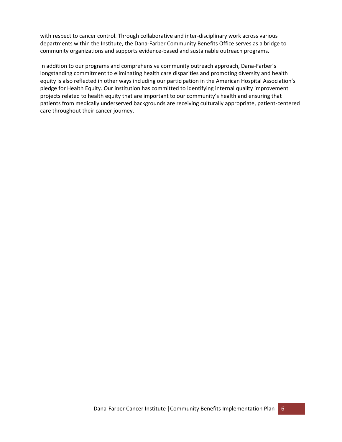with respect to cancer control. Through collaborative and inter-disciplinary work across various departments within the Institute, the Dana-Farber Community Benefits Office serves as a bridge to community organizations and supports evidence-based and sustainable outreach programs.

In addition to our programs and comprehensive community outreach approach, Dana-Farber's longstanding commitment to eliminating health care disparities and promoting diversity and health equity is also reflected in other ways including our participation in the American Hospital Association's pledge for Health Equity. Our institution has committed to identifying internal quality improvement projects related to health equity that are important to our community's health and ensuring that patients from medically underserved backgrounds are receiving culturally appropriate, patient-centered care throughout their cancer journey.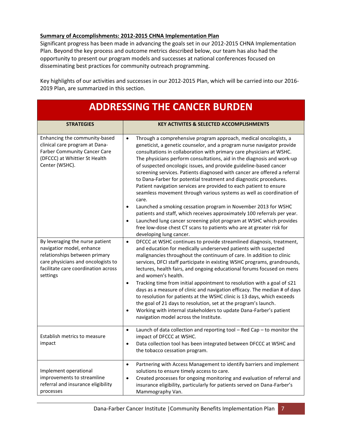#### **Summary of Accomplishments: 2012-2015 CHNA Implementation Plan**

Significant progress has been made in advancing the goals set in our 2012-2015 CHNA Implementation Plan. Beyond the key process and outcome metrics described below, our team has also had the opportunity to present our program models and successes at national conferences focused on disseminating best practices for community outreach programming.

Key highlights of our activities and successes in our 2012-2015 Plan, which will be carried into our 2016- 2019 Plan, are summarized in this section.

| <b>ADDRESSING THE CANCER BURDEN</b>                                                                                                                                                    |                                                                                                                                                                                                                                                                                                                                                                                                                                                                                                                                                                                                                                                                                                                                                                                                                                                                                                                                                                                                                                           |  |
|----------------------------------------------------------------------------------------------------------------------------------------------------------------------------------------|-------------------------------------------------------------------------------------------------------------------------------------------------------------------------------------------------------------------------------------------------------------------------------------------------------------------------------------------------------------------------------------------------------------------------------------------------------------------------------------------------------------------------------------------------------------------------------------------------------------------------------------------------------------------------------------------------------------------------------------------------------------------------------------------------------------------------------------------------------------------------------------------------------------------------------------------------------------------------------------------------------------------------------------------|--|
| <b>STRATEGIES</b>                                                                                                                                                                      | <b>KEY ACTIVITES &amp; SELECTED ACCOMPLISHMENTS</b>                                                                                                                                                                                                                                                                                                                                                                                                                                                                                                                                                                                                                                                                                                                                                                                                                                                                                                                                                                                       |  |
| Enhancing the community-based<br>clinical care program at Dana-<br><b>Farber Community Cancer Care</b><br>(DFCCC) at Whittier St Health<br>Center (WSHC).                              | Through a comprehensive program approach, medical oncologists, a<br>$\bullet$<br>geneticist, a genetic counselor, and a program nurse navigator provide<br>consultations in collaboration with primary care physicians at WSHC.<br>The physicians perform consultations, aid in the diagnosis and work-up<br>of suspected oncologic issues, and provide guideline-based cancer<br>screening services. Patients diagnosed with cancer are offered a referral<br>to Dana-Farber for potential treatment and diagnostic procedures.<br>Patient navigation services are provided to each patient to ensure<br>seamless movement through various systems as well as coordination of<br>care.<br>Launched a smoking cessation program in November 2013 for WSHC<br>$\bullet$<br>patients and staff, which receives approximately 100 referrals per year.<br>Launched lung cancer screening pilot program at WSHC which provides<br>$\bullet$<br>free low-dose chest CT scans to patients who are at greater risk for<br>developing lung cancer. |  |
| By leveraging the nurse patient<br>navigatior model, enhance<br>relationships between primary<br>care physicians and oncologists to<br>facilitate care coordination across<br>settings | DFCCC at WSHC continues to provide streamlined diagnosis, treatment,<br>$\bullet$<br>and education for medically underserved patients with suspected<br>malignancies throughout the continuum of care. In addition to clinic<br>services, DFCI staff participate in existing WSHC programs, grandrounds,<br>lectures, health fairs, and ongoing educational forums focused on mens<br>and women's health.<br>Tracking time from initial appointment to resolution with a goal of ≤21<br>$\bullet$<br>days as a measure of clinic and navigation efficacy. The median # of days<br>to resolution for patients at the WSHC clinic is 13 days, which exceeds<br>the goal of 21 days to resolution, set at the program's launch.<br>Working with internal stakeholders to update Dana-Farber's patient<br>$\bullet$<br>navigation model across the Institute.                                                                                                                                                                                 |  |
| Establish metrics to measure<br>impact                                                                                                                                                 | Launch of data collection and reporting tool $-$ Red Cap $-$ to monitor the<br>$\bullet$<br>impact of DFCCC at WSHC.<br>Data collection tool has been integrated between DFCCC at WSHC and<br>٠<br>the tobacco cessation program.                                                                                                                                                                                                                                                                                                                                                                                                                                                                                                                                                                                                                                                                                                                                                                                                         |  |
| Implement operational<br>improvements to streamline<br>referral and insurance eligibility<br>processes                                                                                 | Partnering with Access Management to identify barriers and implement<br>$\bullet$<br>solutions to ensure timely access to care.<br>Created processes for ongoing monitoring and evaluation of referral and<br>$\bullet$<br>insurance eligibility, particularly for patients served on Dana-Farber's<br>Mammography Van.                                                                                                                                                                                                                                                                                                                                                                                                                                                                                                                                                                                                                                                                                                                   |  |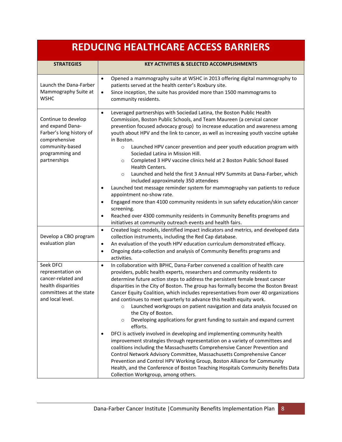## **REDUCING HEALTHCARE ACCESS BARRIERS**

| <b>STRATEGIES</b>                                                                                                                          | <b>KEY ACTIVITIES &amp; SELECTED ACCOMPLISHMENTS</b>                                                                                                                                                                                                                                                                                                                                                                                                                                                                                                                                                                                                                                                                                                                                                                                                                                                                                                                                                                                                                                                                                                                                                                                                      |
|--------------------------------------------------------------------------------------------------------------------------------------------|-----------------------------------------------------------------------------------------------------------------------------------------------------------------------------------------------------------------------------------------------------------------------------------------------------------------------------------------------------------------------------------------------------------------------------------------------------------------------------------------------------------------------------------------------------------------------------------------------------------------------------------------------------------------------------------------------------------------------------------------------------------------------------------------------------------------------------------------------------------------------------------------------------------------------------------------------------------------------------------------------------------------------------------------------------------------------------------------------------------------------------------------------------------------------------------------------------------------------------------------------------------|
| Launch the Dana-Farber<br>Mammography Suite at<br><b>WSHC</b>                                                                              | Opened a mammography suite at WSHC in 2013 offering digital mammography to<br>$\bullet$<br>patients served at the health center's Roxbury site.<br>Since inception, the suite has provided more than 1500 mammograms to<br>$\bullet$<br>community residents.                                                                                                                                                                                                                                                                                                                                                                                                                                                                                                                                                                                                                                                                                                                                                                                                                                                                                                                                                                                              |
| Continue to develop<br>and expand Dana-<br>Farber's long history of<br>comprehensive<br>community-based<br>programming and<br>partnerships | Leveraged partnerships with Sociedad Latina, the Boston Public Health<br>$\bullet$<br>Commission, Boston Public Schools, and Team Maureen (a cervical cancer<br>prevention focused advocacy group) to increase education and awareness among<br>youth about HPV and the link to cancer, as well as increasing youth vaccine uptake<br>in Boston.<br>Launched HPV cancer prevention and peer youth education program with<br>$\circ$<br>Sociedad Latina in Mission Hill.<br>Completed 3 HPV vaccine clinics held at 2 Boston Public School Based<br>$\circ$<br>Health Centers.<br>Launched and held the first 3 Annual HPV Summits at Dana-Farber, which<br>$\circ$<br>included approximately 350 attendees<br>Launched text message reminder system for mammography van patients to reduce<br>appointment no-show rate.<br>Engaged more than 4100 community residents in sun safety education/skin cancer<br>$\bullet$<br>screening.<br>Reached over 4300 community residents in Community Benefits programs and<br>$\bullet$                                                                                                                                                                                                                             |
| Develop a CBO program<br>evaluation plan                                                                                                   | initiatives at community outreach events and health fairs.<br>Created logic models, identified impact indicators and metrics, and developed data<br>$\bullet$<br>collection instruments, including the Red Cap database.<br>An evaluation of the youth HPV education curriculum demonstrated efficacy.<br>$\bullet$<br>Ongoing data-collection and analysis of Community Benefits programs and<br>$\bullet$<br>activities.                                                                                                                                                                                                                                                                                                                                                                                                                                                                                                                                                                                                                                                                                                                                                                                                                                |
| Seek DFCI<br>representation on<br>cancer-related and<br>health disparities<br>committees at the state<br>and local level.                  | In collaboration with BPHC, Dana-Farber convened a coalition of health care<br>$\bullet$<br>providers, public health experts, researchers and community residents to<br>determine future action steps to address the persistent female breast cancer<br>disparities in the City of Boston. The group has formally become the Boston Breast<br>Cancer Equity Coalition, which includes representatives from over 40 organizations<br>and continues to meet quarterly to advance this health equity work.<br>$\circ$ Launched workgroups on patient navigation and data analysis focused on<br>the City of Boston.<br>Developing applications for grant funding to sustain and expand current<br>$\circ$<br>efforts.<br>DFCI is actively involved in developing and implementing community health<br>$\bullet$<br>improvement strategies through representation on a variety of committees and<br>coalitions including the Massachusetts Comprehensive Cancer Prevention and<br>Control Network Advisory Committee, Massachusetts Comprehensive Cancer<br>Prevention and Control HPV Working Group, Boston Alliance for Community<br>Health, and the Conference of Boston Teaching Hospitals Community Benefits Data<br>Collection Workgroup, among others. |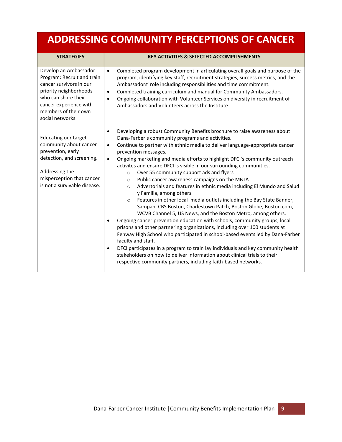## **ADDRESSING COMMUNITY PERCEPTIONS OF CANCER**

| <b>STRATEGIES</b>                                                                                                                                                                                    | <b>KEY ACTIVITIES &amp; SELECTED ACCOMPLISHMENTS</b>                                                                                                                                                                                                                                                                                                                                                                                                                                                                                                                                                                                                                                                                                                                                                                                                                                                                                                                                                                                                                                                                                                                                                                                                                                                                                                                                                            |
|------------------------------------------------------------------------------------------------------------------------------------------------------------------------------------------------------|-----------------------------------------------------------------------------------------------------------------------------------------------------------------------------------------------------------------------------------------------------------------------------------------------------------------------------------------------------------------------------------------------------------------------------------------------------------------------------------------------------------------------------------------------------------------------------------------------------------------------------------------------------------------------------------------------------------------------------------------------------------------------------------------------------------------------------------------------------------------------------------------------------------------------------------------------------------------------------------------------------------------------------------------------------------------------------------------------------------------------------------------------------------------------------------------------------------------------------------------------------------------------------------------------------------------------------------------------------------------------------------------------------------------|
| Develop an Ambassador<br>Program: Recruit and train<br>cancer survivors in our<br>priority neighborhoods<br>who can share their<br>cancer experience with<br>members of their own<br>social networks | Completed program development in articulating overall goals and purpose of the<br>$\bullet$<br>program, identifying key staff, recruitment strategies, success metrics, and the<br>Ambassadors' role including responsibilities and time commitment.<br>Completed training curriculum and manual for Community Ambassadors.<br>$\bullet$<br>Ongoing collaboration with Volunteer Services on diversity in recruitment of<br>$\bullet$<br>Ambassadors and Volunteers across the Institute.                                                                                                                                                                                                                                                                                                                                                                                                                                                                                                                                                                                                                                                                                                                                                                                                                                                                                                                       |
| <b>Educating our target</b><br>community about cancer<br>prevention, early<br>detection, and screening.<br>Addressing the<br>misperception that cancer<br>is not a survivable disease.               | Developing a robust Community Benefits brochure to raise awareness about<br>$\bullet$<br>Dana-Farber's community programs and activities.<br>Continue to partner with ethnic media to deliver language-appropriate cancer<br>$\bullet$<br>prevention messages.<br>Ongoing marketing and media efforts to highlight DFCI's community outreach<br>$\bullet$<br>activites and ensure DFCI is visible in our surrounding communities.<br>Over 55 community support ads and flyers<br>$\circ$<br>Public cancer awareness campaigns on the MBTA<br>$\circ$<br>Advertorials and features in ethnic media including El Mundo and Salud<br>$\circ$<br>y Familia, among others.<br>Features in other local media outlets including the Bay State Banner,<br>$\circ$<br>Sampan, CBS Boston, Charlestown Patch, Boston Globe, Boston.com,<br>WCVB Channel 5, US News, and the Boston Metro, among others.<br>Ongoing cancer prevention education with schools, community groups, local<br>prisons and other partnering organizations, including over 100 students at<br>Fenway High School who participated in school-based events led by Dana-Farber<br>faculty and staff.<br>DFCI participates in a program to train lay individuals and key community health<br>$\bullet$<br>stakeholders on how to deliver information about clinical trials to their<br>respective community partners, including faith-based networks. |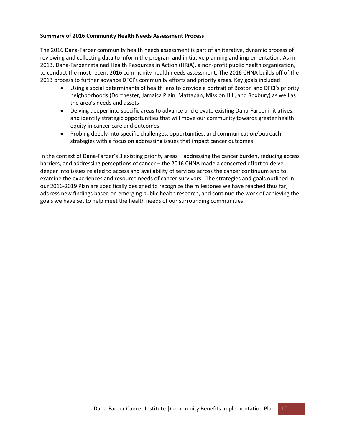#### **Summary of 2016 Community Health Needs Assessment Process**

The 2016 Dana-Farber community health needs assessment is part of an iterative, dynamic process of reviewing and collecting data to inform the program and initiative planning and implementation. As in 2013, Dana-Farber retained Health Resources in Action (HRiA), a non-profit public health organization, to conduct the most recent 2016 community health needs assessment. The 2016 CHNA builds off of the 2013 process to further advance DFCI's community efforts and priority areas. Key goals included:

- Using a social determinants of health lens to provide a portrait of Boston and DFCI's priority neighborhoods (Dorchester, Jamaica Plain, Mattapan, Mission Hill, and Roxbury) as well as the area's needs and assets
- Delving deeper into specific areas to advance and elevate existing Dana-Farber initiatives, and identify strategic opportunities that will move our community towards greater health equity in cancer care and outcomes
- Probing deeply into specific challenges, opportunities, and communication/outreach strategies with a focus on addressing issues that impact cancer outcomes

In the context of Dana-Farber's 3 existing priority areas – addressing the cancer burden, reducing access barriers, and addressing perceptions of cancer – the 2016 CHNA made a concerted effort to delve deeper into issues related to access and availability of services across the cancer continuum and to examine the experiences and resource needs of cancer survivors. The strategies and goals outlined in our 2016-2019 Plan are specifically designed to recognize the milestones we have reached thus far, address new findings based on emerging public health research, and continue the work of achieving the goals we have set to help meet the health needs of our surrounding communities.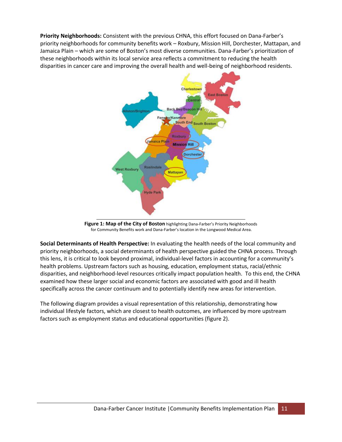**Priority Neighborhoods:** Consistent with the previous CHNA, this effort focused on Dana-Farber's priority neighborhoods for community benefits work – Roxbury, Mission Hill, Dorchester, Mattapan, and Jamaica Plain – which are some of Boston's most diverse communities. Dana-Farber's prioritization of these neighborhoods within its local service area reflects a commitment to reducing the health disparities in cancer care and improving the overall health and well-being of neighborhood residents.



Figure 1: Map of the City of Boston highlighting Dana-Farber's Priority Neighborhoods for Community Benefits work and Dana-Farber's location in the Longwood Medical Area.

**Social Determinants of Health Perspective:** In evaluating the health needs of the local community and priority neighborhoods, a social determinants of health perspective guided the CHNA process. Through this lens, it is critical to look beyond proximal, individual-level factors in accounting for a community's health problems. Upstream factors such as housing, education, employment status, racial/ethnic disparities, and neighborhood-level resources critically impact population health. To this end, the CHNA examined how these larger social and economic factors are associated with good and ill health specifically across the cancer continuum and to potentially identify new areas for intervention.

The following diagram provides a visual representation of this relationship, demonstrating how individual lifestyle factors, which are closest to health outcomes, are influenced by more upstream factors such as employment status and educational opportunities (figure 2).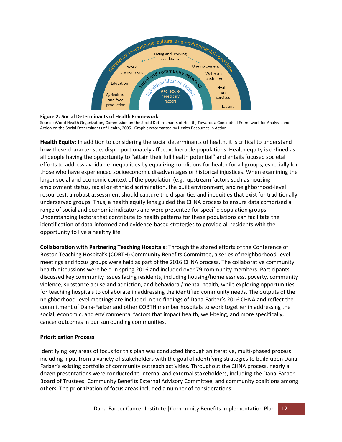

#### **Figure 2: Social Determinants of Health Framework**

Source: World Health Organization, Commission on the Social Determinants of Health, Towards a Conceptual Framework for Analysis and Action on the Social Determinants of Health, 2005. Graphic reformatted by Health Resources in Action.

**Health Equity:** In addition to considering the social determinants of health, it is critical to understand how these characteristics disproportionately affect vulnerable populations. Health equity is defined as all people having the opportunity to "attain their full health potential" and entails focused societal efforts to address avoidable inequalities by equalizing conditions for health for all groups, especially for those who have experienced socioeconomic disadvantages or historical injustices. When examining the larger social and economic context of the population (e.g., upstream factors such as housing, employment status, racial or ethnic discrimination, the built environment, and neighborhood-level resources), a robust assessment should capture the disparities and inequities that exist for traditionally underserved groups. Thus, a health equity lens guided the CHNA process to ensure data comprised a range of social and economic indicators and were presented for specific population groups. Understanding factors that contribute to health patterns for these populations can facilitate the identification of data-informed and evidence-based strategies to provide all residents with the opportunity to live a healthy life.

**Collaboration with Partnering Teaching Hospitals**: Through the shared efforts of the Conference of Boston Teaching Hospital's (COBTH) Community Benefits Committee, a series of neighborhood-level meetings and focus groups were held as part of the 2016 CHNA process. The collaborative community health discussions were held in spring 2016 and included over 79 community members. Participants discussed key community issues facing residents, including housing/homelessness, poverty, community violence, substance abuse and addiction, and behavioral/mental health, while exploring opportunities for teaching hospitals to collaborate in addressing the identified community needs. The outputs of the neighborhood-level meetings are included in the findings of Dana-Farber's 2016 CHNA and reflect the commitment of Dana-Farber and other COBTH member hospitals to work together in addressing the social, economic, and environmental factors that impact health, well-being, and more specifically, cancer outcomes in our surrounding communities.

#### **Prioritization Process**

Identifying key areas of focus for this plan was conducted through an iterative, multi-phased process including input from a variety of stakeholders with the goal of identifying strategies to build upon Dana-Farber's existing portfolio of community outreach activities. Throughout the CHNA process, nearly a dozen presentations were conducted to internal and external stakeholders, including the Dana-Farber Board of Trustees, Community Benefits External Advisory Committee, and community coalitions among others. The prioritization of focus areas included a number of considerations: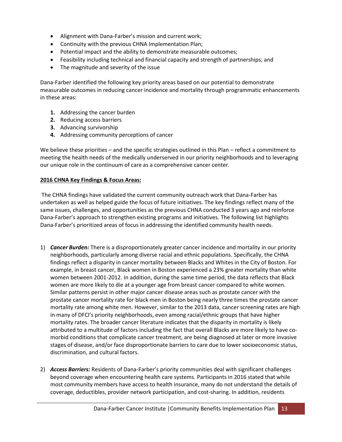- Alignment with Dana-Farber's mission and current work;
- Continuity with the previous CHNA Implementation Plan;
- Potential impact and the ability to demonstrate measurable outcomes;
- Feasibility including technical and financial capacity and strength of partnerships; and
- The magnitude and severity of the issue

Dana-Farber identified the following key priority areas based on our potential to demonstrate measurable outcomes in reducing cancer incidence and mortality through programmatic enhancements in these areas:

- **1.** Addressing the cancer burden
- **2.** Reducing access barriers
- **3.** Advancing survivorship
- **4.** Addressing community perceptions of cancer

We believe these priorities – and the specific strategies outlined in this Plan – reflect a commitment to meeting the health needs of the medically underserved in our priority neighborhoods and to leveraging our unique role in the continuum of care as a comprehensive cancer center.

#### **2016 CHNA Key Findings & Focus Areas:**

The CHNA findings have validated the current community outreach work that Dana-Farber has undertaken as well as helped guide the focus of future initiatives. The key findings reflect many of the same issues, challenges, and opportunities as the previous CHNA conducted 3 years ago and reinforce Dana-Farber's approach to strengthen existing programs and initiatives. The following list highlights Dana-Farber's prioritized areas of focus in addressing the identified community health needs.

- 1) *Cancer Burden:* There is a disproportionately greater cancer incidence and mortality in our priority neighborhoods, particularly among diverse racial and ethnic populations. Specifically, the CHNA findings reflect a disparity in cancer mortality between Blacks and Whites in the City of Boston. For example, in breast cancer, Black women in Boston experienced a 23% greater mortality than white women between 2001-2012. In addition, during the same time period, the data reflects that Black women are more likely to die at a younger age from breast cancer compared to white women. Similar patterns persist in other major cancer disease areas such as prostate cancer with the prostate cancer mortality rate for black men in Boston being nearly three times the prostate cancer mortality rate among white men. However, similar to the 2013 data, cancer screening rates are high in many of DFCI's priority neighborhoods, even among racial/ethnic groups that have higher mortality rates. The broader cancer literature indicates that the disparity in mortality is likely attributed to a multitude of factors including the fact that overall Blacks are more likely to have comorbid conditions that complicate cancer treatment, are being diagnosed at later or more invasive stages of disease, and/or face disproportionate barriers to care due to lower socioeconomic status, discrimination, and cultural factors.
- 2) *Access Barriers:* Residents of Dana-Farber's priority communities deal with significant challenges beyond coverage when encountering health care systems. Participants in 2016 stated that while most community members have access to health insurance, many do not understand the details of coverage, deductibles, provider network participation, and cost-sharing. In addition, residents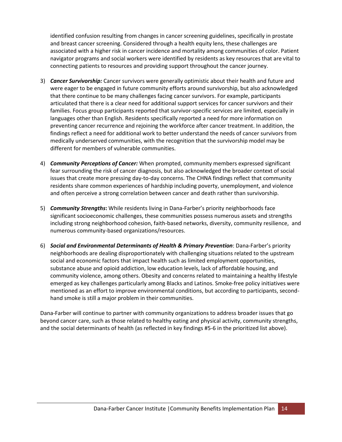identified confusion resulting from changes in cancer screening guidelines, specifically in prostate and breast cancer screening. Considered through a health equity lens, these challenges are associated with a higher risk in cancer incidence and mortality among communities of color. Patient navigator programs and social workers were identified by residents as key resources that are vital to connecting patients to resources and providing support throughout the cancer journey.

- 3) *Cancer Survivorship:* Cancer survivors were generally optimistic about their health and future and were eager to be engaged in future community efforts around survivorship, but also acknowledged that there continue to be many challenges facing cancer survivors. For example, participants articulated that there is a clear need for additional support services for cancer survivors and their families. Focus group participants reported that survivor-specific services are limited, especially in languages other than English. Residents specifically reported a need for more information on preventing cancer recurrence and rejoining the workforce after cancer treatment. In addition, the findings reflect a need for additional work to better understand the needs of cancer survivors from medically underserved communities, with the recognition that the survivorship model may be different for members of vulnerable communities.
- 4) *Community Perceptions of Cancer:* When prompted, community members expressed significant fear surrounding the risk of cancer diagnosis, but also acknowledged the broader context of social issues that create more pressing day-to-day concerns. The CHNA findings reflect that community residents share common experiences of hardship including poverty, unemployment, and violence and often perceive a strong correlation between cancer and death rather than survivorship.
- 5) *Community Strengths***:** While residents living in Dana-Farber's priority neighborhoods face significant socioeconomic challenges, these communities possess numerous assets and strengths including strong neighborhood cohesion, faith-based networks, diversity, community resilience, and numerous community-based organizations/resources.
- 6) *Social and Environmental Determinants of Health & Primary Prevention*: Dana-Farber's priority neighborhoods are dealing disproportionately with challenging situations related to the upstream social and economic factors that impact health such as limited employment opportunities, substance abuse and opioid addiction, low education levels, lack of affordable housing, and community violence, among others. Obesity and concerns related to maintaining a healthy lifestyle emerged as key challenges particularly among Blacks and Latinos. Smoke-free policy initiatives were mentioned as an effort to improve environmental conditions, but according to participants, secondhand smoke is still a major problem in their communities.

Dana-Farber will continue to partner with community organizations to address broader issues that go beyond cancer care, such as those related to healthy eating and physical activity, community strengths, and the social determinants of health (as reflected in key findings #5-6 in the prioritized list above).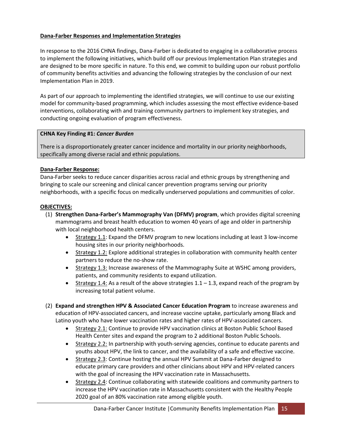### **Dana-Farber Responses and Implementation Strategies**

In response to the 2016 CHNA findings, Dana-Farber is dedicated to engaging in a collaborative process to implement the following initiatives, which build off our previous Implementation Plan strategies and are designed to be more specific in nature. To this end, we commit to building upon our robust portfolio of community benefits activities and advancing the following strategies by the conclusion of our next Implementation Plan in 2019.

As part of our approach to implementing the identified strategies, we will continue to use our existing model for community-based programming, which includes assessing the most effective evidence-based interventions, collaborating with and training community partners to implement key strategies, and conducting ongoing evaluation of program effectiveness.

#### **CHNA Key Finding #1:** *Cancer Burden*

There is a disproportionately greater cancer incidence and mortality in our priority neighborhoods, specifically among diverse racial and ethnic populations.

#### **Dana-Farber Response:**

Dana-Farber seeks to reduce cancer disparities across racial and ethnic groups by strengthening and bringing to scale our screening and clinical cancer prevention programs serving our priority neighborhoods, with a specific focus on medically underserved populations and communities of color.

#### **OBJECTIVES:**

- (1) **Strengthen Dana-Farber's Mammography Van (DFMV) program**, which provides digital screening mammograms and breast health education to women 40 years of age and older in partnership with local neighborhood health centers.
	- Strategy 1.1: Expand the DFMV program to new locations including at least 3 low-income housing sites in our priority neighborhoods.
	- Strategy 1.2: Explore additional strategies in collaboration with community health center partners to reduce the no-show rate.
	- Strategy 1.3: Increase awareness of the Mammography Suite at WSHC among providers, patients, and community residents to expand utilization.
	- Strategy 1.4: As a result of the above strategies  $1.1 1.3$ , expand reach of the program by increasing total patient volume.
- (2) **Expand and strengthen HPV & Associated Cancer Education Program** to increase awareness and education of HPV-associated cancers, and increase vaccine uptake, particularly among Black and Latino youth who have lower vaccination rates and higher rates of HPV-associated cancers.
	- Strategy 2.1: Continue to provide HPV vaccination clinics at Boston Public School Based Health Center sites and expand the program to 2 additional Boston Public Schools.
	- Strategy 2.2: In partnership with youth-serving agencies, continue to educate parents and youths about HPV, the link to cancer, and the availability of a safe and effective vaccine.
	- Strategy 2.3: Continue hosting the annual HPV Summit at Dana-Farber designed to educate primary care providers and other clinicians about HPV and HPV-related cancers with the goal of increasing the HPV vaccination rate in Massachusetts.
	- Strategy 2.4: Continue collaborating with statewide coalitions and community partners to increase the HPV vaccination rate in Massachusetts consistent with the Healthy People 2020 goal of an 80% vaccination rate among eligible youth.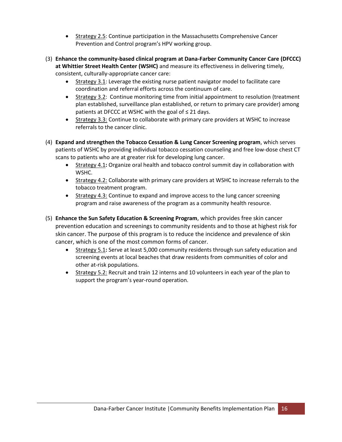- Strategy 2.5: Continue participation in the Massachusetts Comprehensive Cancer Prevention and Control program's HPV working group.
- (3) **Enhance the community-based clinical program at Dana-Farber Community Cancer Care (DFCCC) at Whittier Street Health Center (WSHC)** and measure its effectiveness in delivering timely, consistent, culturally-appropriate cancer care:
	- Strategy 3.1: Leverage the existing nurse patient navigator model to facilitate care coordination and referral efforts across the continuum of care.
	- Strategy 3.2: Continue monitoring time from initial appointment to resolution (treatment plan established, surveillance plan established, or return to primary care provider) among patients at DFCCC at WSHC with the goal of  $\leq 21$  days.
	- Strategy 3.3: Continue to collaborate with primary care providers at WSHC to increase referrals to the cancer clinic.
- (4) **Expand and strengthen the Tobacco Cessation & Lung Cancer Screening program**, which serves patients of WSHC by providing individual tobacco cessation counseling and free low-dose chest CT scans to patients who are at greater risk for developing lung cancer.
	- Strategy 4.1**:** Organize oral health and tobacco control summit day in collaboration with WSHC.
	- Strategy 4.2: Collaborate with primary care providers at WSHC to increase referrals to the tobacco treatment program.
	- Strategy 4.3: Continue to expand and improve access to the lung cancer screening program and raise awareness of the program as a community health resource.
- (5) **Enhance the Sun Safety Education & Screening Program**, which provides free skin cancer prevention education and screenings to community residents and to those at highest risk for skin cancer. The purpose of this program is to reduce the incidence and prevalence of skin cancer, which is one of the most common forms of cancer.
	- Strategy 5.1**:** Serve at least 5,000 community residents through sun safety education and screening events at local beaches that draw residents from communities of color and other at-risk populations.
	- Strategy 5.2: Recruit and train 12 interns and 10 volunteers in each year of the plan to support the program's year-round operation.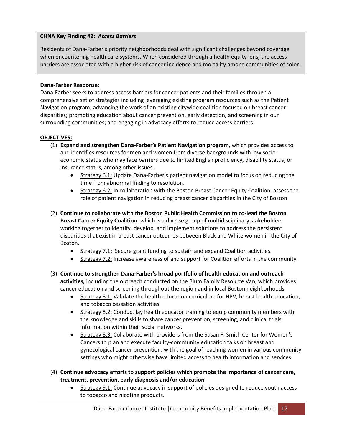#### **CHNA Key Finding #2:** *Access Barriers*

Residents of Dana-Farber's priority neighborhoods deal with significant challenges beyond coverage when encountering health care systems. When considered through a health equity lens, the access barriers are associated with a higher risk of cancer incidence and mortality among communities of color.

#### **Dana-Farber Response:**

Dana-Farber seeks to address access barriers for cancer patients and their families through a comprehensive set of strategies including leveraging existing program resources such as the Patient Navigation program; advancing the work of an existing citywide coalition focused on breast cancer disparities; promoting education about cancer prevention, early detection, and screening in our surrounding communities; and engaging in advocacy efforts to reduce access barriers.

#### **OBJECTIVES:**

- (1) **Expand and strengthen Dana-Farber's Patient Navigation program**, which provides access to and identifies resources for men and women from diverse backgrounds with low socioeconomic status who may face barriers due to limited English proficiency, disability status, or insurance status, among other issues.
	- Strategy 6.1: Update Dana-Farber's patient navigation model to focus on reducing the time from abnormal finding to resolution.
	- Strategy 6.2: In collaboration with the Boston Breast Cancer Equity Coalition, assess the role of patient navigation in reducing breast cancer disparities in the City of Boston
- (2) **Continue to collaborate with the Boston Public Health Commission to co-lead the Boston Breast Cancer Equity Coalition**, which is a diverse group of multidisciplinary stakeholders working together to identify, develop, and implement solutions to address the persistent disparities that exist in breast cancer outcomes between Black and White women in the City of Boston.
	- Strategy 7.1**:** Secure grant funding to sustain and expand Coalition activities.
	- Strategy 7.2: Increase awareness of and support for Coalition efforts in the community.
- (3) **Continue to strengthen Dana-Farber's broad portfolio of health education and outreach activities,** including the outreach conducted on the Blum Family Resource Van, which provides cancer education and screening throughout the region and in local Boston neighborhoods.
	- Strategy 8.1: Validate the health education curriculum for HPV, breast health education, and tobacco cessation activities.
	- Strategy 8.2: Conduct lay health educator training to equip community members with the knowledge and skills to share cancer prevention, screening, and clinical trials information within their social networks.
	- Strategy 8.3: Collaborate with providers from the Susan F. Smith Center for Women's Cancers to plan and execute faculty-community education talks on breast and gynecological cancer prevention, with the goal of reaching women in various community settings who might otherwise have limited access to health information and services.
- (4) **Continue advocacy efforts to support policies which promote the importance of cancer care, treatment, prevention, early diagnosis and/or education**.
	- Strategy 9.1: Continue advocacy in support of policies designed to reduce youth access to tobacco and nicotine products.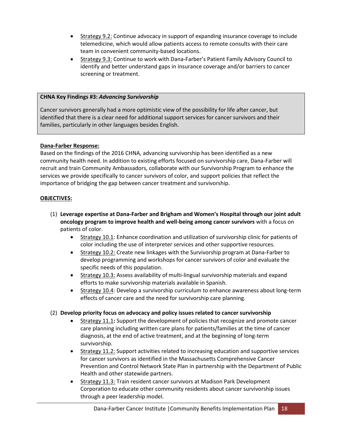- Strategy 9.2: Continue advocacy in support of expanding insurance coverage to include telemedicine, which would allow patients access to remote consults with their care team in convenient community-based locations.
- Strategy 9.3: Continue to work with Dana-Farber's Patient Family Advisory Council to identify and better understand gaps in insurance coverage and/or barriers to cancer screening or treatment.

#### **CHNA Key Findings #3:** *Advancing Survivorship*

Cancer survivors generally had a more optimistic view of the possibility for life after cancer, but identified that there is a clear need for additional support services for cancer survivors and their families, particularly in other languages besides English.

#### **Dana-Farber Response:**

Based on the findings of the 2016 CHNA, advancing survivorship has been identified as a new community health need. In addition to existing efforts focused on survivorship care, Dana-Farber will recruit and train Community Ambassadors, collaborate with our Survivorship Program to enhance the services we provide specifically to cancer survivors of color, and support policies that reflect the importance of bridging the gap between cancer treatment and survivorship.

#### **OBJECTIVES:**

- (1) **Leverage expertise at Dana-Farber and Brigham and Women's Hospital through our joint adult oncology program to improve health and well-being among cancer survivors** with a focus on patients of color.
	- Strategy 10.1: Enhance coordination and utilization of survivorship clinic for patients of color including the use of interpreter services and other supportive resources.
	- **Strategy 10.2: Create new linkages with the Survivorship program at Dana-Farber to** develop programming and workshops for cancer survivors of color and evaluate the specific needs of this population.
	- Strategy 10.3: Assess availability of multi-lingual survivorship materials and expand efforts to make survivorship materials available in Spanish.
	- **Strategy 10.4: Develop a survivorship curriculum to enhance awareness about long-term** effects of cancer care and the need for survivorship care planning.

#### (2) **Develop priority focus on advocacy and policy issues related to cancer survivorship**

- Strategy 11.1**:** Support the development of policies that recognize and promote cancer care planning including written care plans for patients/families at the time of cancer diagnosis, at the end of active treatment, and at the beginning of long-term survivorship.
- Strategy 11.2: Support activities related to increasing education and supportive services for cancer survivors as identified in the Massachusetts Comprehensive Cancer Prevention and Control Network State Plan in partnership with the Department of Public Health and other statewide partners.
- Strategy 11.3: Train resident cancer survivors at Madison Park Development Corporation to educate other community residents about cancer survivorship issues through a peer leadership model.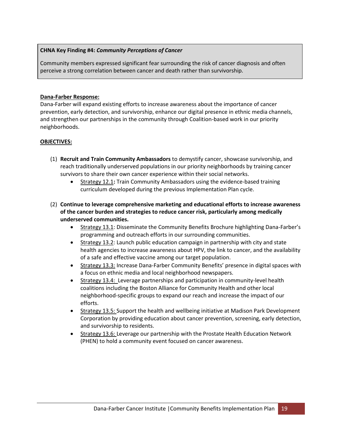#### **CHNA Key Finding #4:** *Community Perceptions of Cancer*

Community members expressed significant fear surrounding the risk of cancer diagnosis and often perceive a strong correlation between cancer and death rather than survivorship.

#### **Dana-Farber Response:**

Dana-Farber will expand existing efforts to increase awareness about the importance of cancer prevention, early detection, and survivorship, enhance our digital presence in ethnic media channels, and strengthen our partnerships in the community through Coalition-based work in our priority neighborhoods.

#### **OBJECTIVES:**

- (1) **Recruit and Train Community Ambassadors** to demystify cancer, showcase survivorship, and reach traditionally underserved populations in our priority neighborhoods by training cancer survivors to share their own cancer experience within their social networks.
	- Strategy 12.1**:** Train Community Ambassadors using the evidence-based training curriculum developed during the previous Implementation Plan cycle.
- (2) **Continue to leverage comprehensive marketing and educational efforts to increase awareness of the cancer burden and strategies to reduce cancer risk, particularly among medically underserved communities.** 
	- Strategy 13.1: Disseminate the Community Benefits Brochure highlighting Dana-Farber's programming and outreach efforts in our surrounding communities.
	- **Strategy 13.2:** Launch public education campaign in partnership with city and state health agencies to increase awareness about HPV, the link to cancer, and the availability of a safe and effective vaccine among our target population.
	- Strategy 13.3: Increase Dana-Farber Community Benefits' presence in digital spaces with a focus on ethnic media and local neighborhood newspapers.
	- Strategy 13.4: Leverage partnerships and participation in community-level health coalitions including the Boston Alliance for Community Health and other local neighborhood-specific groups to expand our reach and increase the impact of our efforts.
	- Strategy 13.5: Support the health and wellbeing initiative at Madison Park Development Corporation by providing education about cancer prevention, screening, early detection, and survivorship to residents.
	- Strategy 13.6: Leverage our partnership with the Prostate Health Education Network (PHEN) to hold a community event focused on cancer awareness.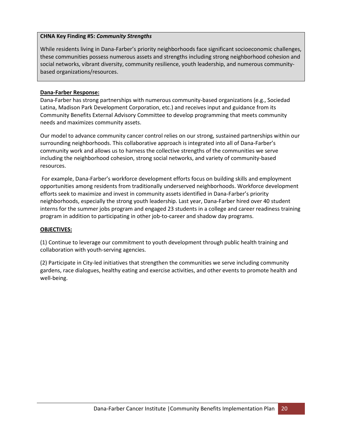#### **CHNA Key Finding #5:** *Community Strengths*

While residents living in Dana-Farber's priority neighborhoods face significant socioeconomic challenges, these communities possess numerous assets and strengths including strong neighborhood cohesion and social networks, vibrant diversity, community resilience, youth leadership, and numerous communitybased organizations/resources.

#### **Dana-Farber Response:**

Dana-Farber has strong partnerships with numerous community-based organizations (e.g., Sociedad Latina, Madison Park Development Corporation, etc.) and receives input and guidance from its Community Benefits External Advisory Committee to develop programming that meets community needs and maximizes community assets.

Our model to advance community cancer control relies on our strong, sustained partnerships within our surrounding neighborhoods. This collaborative approach is integrated into all of Dana-Farber's community work and allows us to harness the collective strengths of the communities we serve including the neighborhood cohesion, strong social networks, and variety of community-based resources.

For example, Dana-Farber's workforce development efforts focus on building skills and employment opportunities among residents from traditionally underserved neighborhoods. Workforce development efforts seek to maximize and invest in community assets identified in Dana-Farber's priority neighborhoods, especially the strong youth leadership. Last year, Dana-Farber hired over 40 student interns for the summer jobs program and engaged 23 students in a college and career readiness training program in addition to participating in other job-to-career and shadow day programs.

#### **OBJECTIVES:**

(1) Continue to leverage our commitment to youth development through public health training and collaboration with youth-serving agencies.

(2) Participate in City-led initiatives that strengthen the communities we serve including community gardens, race dialogues, healthy eating and exercise activities, and other events to promote health and well-being.